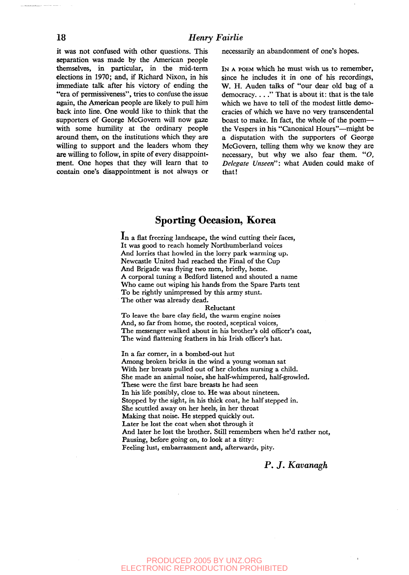it was not confused with other questions. This separation was made by the American people themselves, in particular, in the mid-term elections in 1970; and, if Richard Nixon, in his immediate talk after his victory of ending the "era of permissiveness", tries to confuse the issue again, the American people are likely to pull him back into line. One would like to think that the supporters of George McGovern will now gaze with some humility at the ordinary people around them, on the institutions which they are willing to support and the leaders whom they are willing to follow, in spite of every disappointment. One hopes that they will learn that to contain one's disappointment is not always or necessarily an abandonment of one's hopes.

IN A POEM which he must wish us to remember, since he includes it in one of his recordings, W. H. Auden talks of "our dear old bag of a democracy...." That is about it: that is the tale which we have to tell of the modest little democracies of which we have no very transcendental boast to make. In fact, the whole of the poem the Vespers in his "Canonical Hours"—might be a disputation with the supporters of George McGovern, telling them why we know they are necessary, but why we also fear them. *"O, Delegate Unseen":* what Auden could make of that!

## Sporting Occasion, Korea

In a flat freezing landscape, the wind cutting their faces. It was good to reach homely Northumberland voices And lorries that howled in the lorry park warming up. Newcastle United had reached the Final of the Cup And Brigade was flying two men, briefly, home. A corporal tuning a Bedford listened and shouted a name Who came out wiping his hands from the Spare Parts tent To be rightly unimpressed by this army stunt. The other was already dead.

#### Reluctant

To leave the bare clay field, the warm engine noises And, so far from home, the rooted, sceptical voices, The messenger walked about in his brother's old officer's coat, The wind flattening feathers in his Irish officer's hat.

In a far corner, in a bombed-out hut Among broken bricks in the wind a young woman sat With her breasts pulled out of her clothes nursing a child. She made an animal noise, she half-whimpered, half-growled. These were the first bare breasts he had seen In his life possibly, close to. He was about nineteen. Stopped by the sight, in his thick coat, he half stepped in. She scuttled away on her heels, in her throat Making that noise. He stepped quickly out. Later he lost the coat when shot through it And later he lost the brother. Still remembers when he'd rather not, Pausing, before going on, to look at a titty: Feeling lust, embarrassment and, afterwards, pity.

### P. *J. Kavanagh*